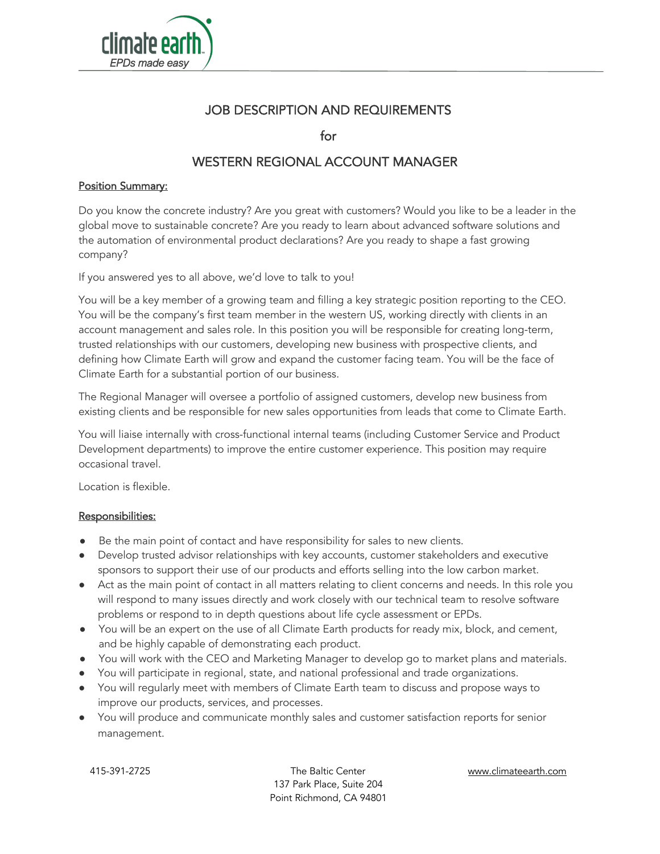

## JOB DESCRIPTION AND REQUIREMENTS

for

# WESTERN REGIONAL ACCOUNT MANAGER

## **Position Summary:**

Do you know the concrete industry? Are you great with customers? Would you like to be a leader in the global move to sustainable concrete? Are you ready to learn about advanced software solutions and the automation of environmental product declarations? Are you ready to shape a fast growing company?

If you answered yes to all above, we'd love to talk to you!

You will be a key member of a growing team and filling a key strategic position reporting to the CEO. You will be the company's first team member in the western US, working directly with clients in an account management and sales role. In this position you will be responsible for creating long-term, trusted relationships with our customers, developing new business with prospective clients, and defining how Climate Earth will grow and expand the customer facing team. You will be the face of Climate Earth for a substantial portion of our business.

The Regional Manager will oversee a portfolio of assigned customers, develop new business from existing clients and be responsible for new sales opportunities from leads that come to Climate Earth.

You will liaise internally with cross-functional internal teams (including Customer Service and Product Development departments) to improve the entire customer experience. This position may require occasional travel.

Location is flexible.

#### Responsibilities:

- Be the main point of contact and have responsibility for sales to new clients.
- Develop trusted advisor relationships with key accounts, customer stakeholders and executive sponsors to support their use of our products and efforts selling into the low carbon market.
- Act as the main point of contact in all matters relating to client concerns and needs. In this role you will respond to many issues directly and work closely with our technical team to resolve software problems or respond to in depth questions about life cycle assessment or EPDs.
- You will be an expert on the use of all Climate Earth products for ready mix, block, and cement, and be highly capable of demonstrating each product.
- You will work with the CEO and Marketing Manager to develop go to market plans and materials.
- You will participate in regional, state, and national professional and trade organizations.
- You will regularly meet with members of Climate Earth team to discuss and propose ways to improve our products, services, and processes.
- You will produce and communicate monthly sales and customer satisfaction reports for senior management.

415-391-2725 The Baltic Center www.climateearth.com 137 Park Place, Suite 204 Point Richmond, CA 94801